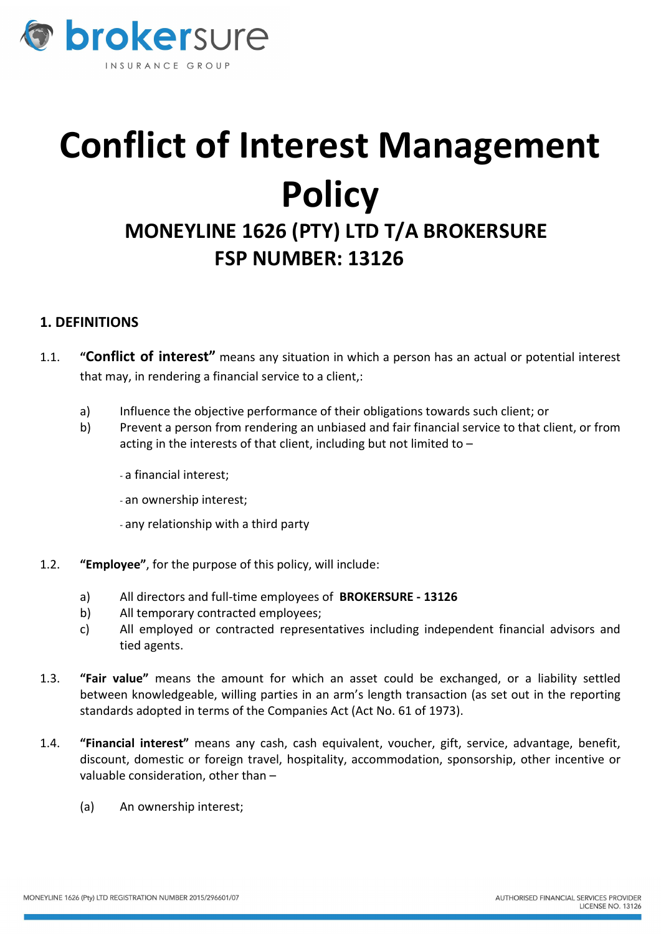

# Conflict of Interest Management **Policy**

## MONEYLINE 1626 (PTY) LTD T/A BROKERSURE FSP NUMBER: 13126

### 1. DEFINITIONS

- 1.1. "Conflict of interest" means any situation in which a person has an actual or potential interest that may, in rendering a financial service to a client,:
	- a) Influence the objective performance of their obligations towards such client; or
	- b) Prevent a person from rendering an unbiased and fair financial service to that client, or from acting in the interests of that client, including but not limited to –
		- a financial interest;
		- an ownership interest;
		- any relationship with a third party
- 1.2. "Employee", for the purpose of this policy, will include:
	- a) All directors and full-time employees of BROKERSURE 13126
	- b) All temporary contracted employees;
	- c) All employed or contracted representatives including independent financial advisors and tied agents.
- 1.3. "Fair value" means the amount for which an asset could be exchanged, or a liability settled between knowledgeable, willing parties in an arm's length transaction (as set out in the reporting standards adopted in terms of the Companies Act (Act No. 61 of 1973).
- 1.4. "Financial interest" means any cash, cash equivalent, voucher, gift, service, advantage, benefit, discount, domestic or foreign travel, hospitality, accommodation, sponsorship, other incentive or valuable consideration, other than –
	- (a) An ownership interest;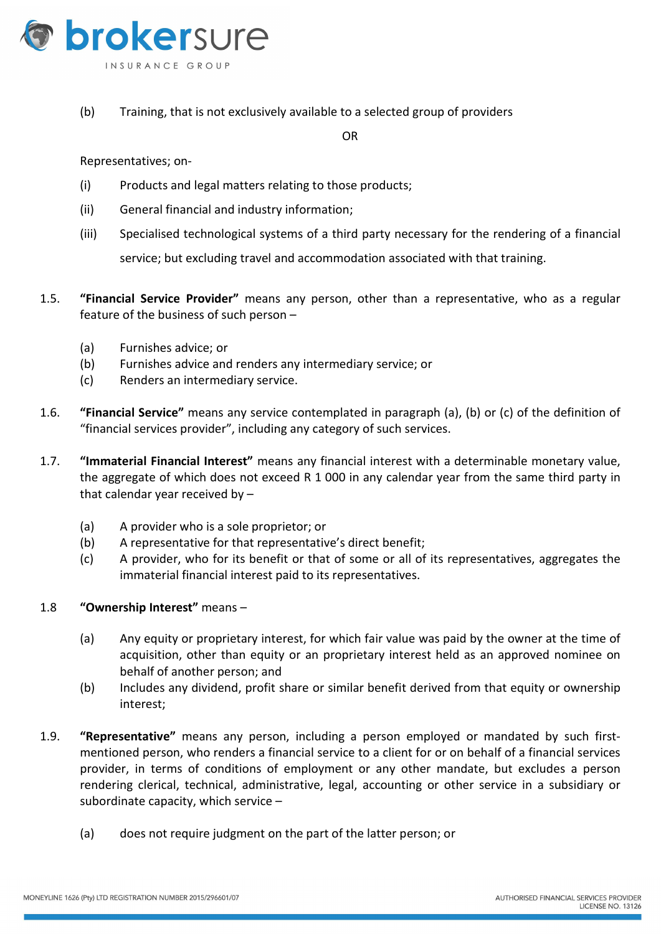

(b) Training, that is not exclusively available to a selected group of providers

OR

Representatives; on-

- (i) Products and legal matters relating to those products;
- (ii) General financial and industry information;
- (iii) Specialised technological systems of a third party necessary for the rendering of a financial service; but excluding travel and accommodation associated with that training.
- 1.5. "Financial Service Provider" means any person, other than a representative, who as a regular feature of the business of such person –
	- (a) Furnishes advice; or
	- (b) Furnishes advice and renders any intermediary service; or
	- (c) Renders an intermediary service.
- 1.6. "Financial Service" means any service contemplated in paragraph (a), (b) or (c) of the definition of "financial services provider", including any category of such services.
- 1.7. "Immaterial Financial Interest" means any financial interest with a determinable monetary value, the aggregate of which does not exceed R 1 000 in any calendar year from the same third party in that calendar year received by –
	- (a) A provider who is a sole proprietor; or
	- (b) A representative for that representative's direct benefit;
	- (c) A provider, who for its benefit or that of some or all of its representatives, aggregates the immaterial financial interest paid to its representatives.

#### 1.8 "Ownership Interest" means –

- (a) Any equity or proprietary interest, for which fair value was paid by the owner at the time of acquisition, other than equity or an proprietary interest held as an approved nominee on behalf of another person; and
- (b) Includes any dividend, profit share or similar benefit derived from that equity or ownership interest;
- 1.9. "Representative" means any person, including a person employed or mandated by such firstmentioned person, who renders a financial service to a client for or on behalf of a financial services provider, in terms of conditions of employment or any other mandate, but excludes a person rendering clerical, technical, administrative, legal, accounting or other service in a subsidiary or subordinate capacity, which service –
	- (a) does not require judgment on the part of the latter person; or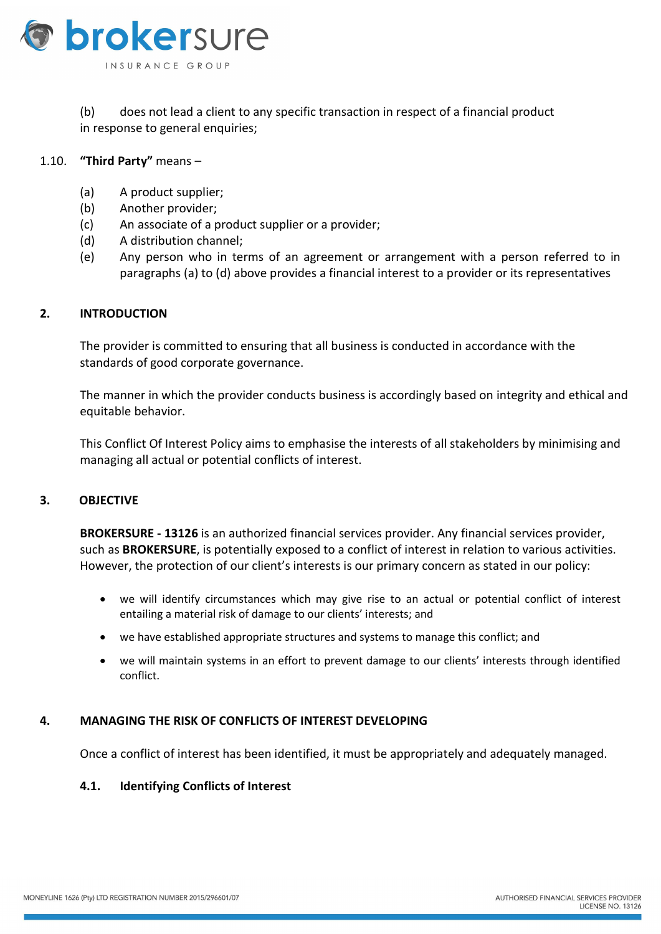

#### (b) does not lead a client to any specific transaction in respect of a financial product in response to general enquiries;

#### 1.10. "Third Party" means –

- (a) A product supplier;
- (b) Another provider;
- (c) An associate of a product supplier or a provider;
- (d) A distribution channel;
- (e) Any person who in terms of an agreement or arrangement with a person referred to in paragraphs (a) to (d) above provides a financial interest to a provider or its representatives

#### 2. INTRODUCTION

The provider is committed to ensuring that all business is conducted in accordance with the standards of good corporate governance.

The manner in which the provider conducts business is accordingly based on integrity and ethical and equitable behavior.

This Conflict Of Interest Policy aims to emphasise the interests of all stakeholders by minimising and managing all actual or potential conflicts of interest.

#### 3. OBJECTIVE

BROKERSURE - 13126 is an authorized financial services provider. Any financial services provider, such as BROKERSURE, is potentially exposed to a conflict of interest in relation to various activities. However, the protection of our client's interests is our primary concern as stated in our policy:

- we will identify circumstances which may give rise to an actual or potential conflict of interest entailing a material risk of damage to our clients' interests; and
- we have established appropriate structures and systems to manage this conflict; and
- we will maintain systems in an effort to prevent damage to our clients' interests through identified conflict.

#### 4. MANAGING THE RISK OF CONFLICTS OF INTEREST DEVELOPING

Once a conflict of interest has been identified, it must be appropriately and adequately managed.

#### 4.1. Identifying Conflicts of Interest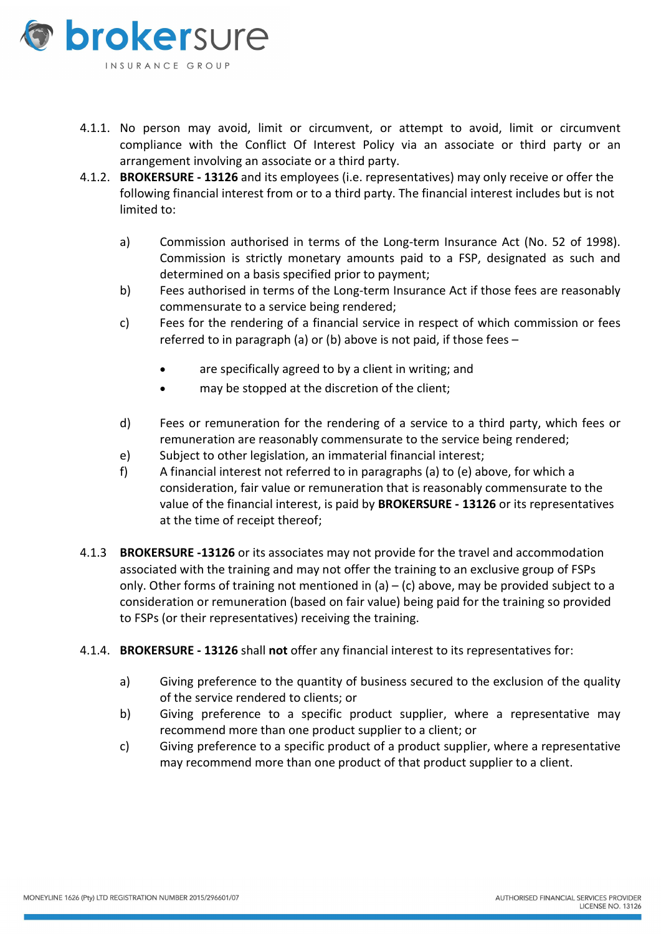

- 4.1.1. No person may avoid, limit or circumvent, or attempt to avoid, limit or circumvent compliance with the Conflict Of Interest Policy via an associate or third party or an arrangement involving an associate or a third party.
- 4.1.2. BROKERSURE 13126 and its employees (i.e. representatives) may only receive or offer the following financial interest from or to a third party. The financial interest includes but is not limited to:
	- a) Commission authorised in terms of the Long-term Insurance Act (No. 52 of 1998). Commission is strictly monetary amounts paid to a FSP, designated as such and determined on a basis specified prior to payment;
	- b) Fees authorised in terms of the Long-term Insurance Act if those fees are reasonably commensurate to a service being rendered;
	- c) Fees for the rendering of a financial service in respect of which commission or fees referred to in paragraph (a) or (b) above is not paid, if those fees –
		- are specifically agreed to by a client in writing; and
		- may be stopped at the discretion of the client;
	- d) Fees or remuneration for the rendering of a service to a third party, which fees or remuneration are reasonably commensurate to the service being rendered;
	- e) Subject to other legislation, an immaterial financial interest;
	- f) A financial interest not referred to in paragraphs (a) to (e) above, for which a consideration, fair value or remuneration that is reasonably commensurate to the value of the financial interest, is paid by BROKERSURE - 13126 or its representatives at the time of receipt thereof;
- 4.1.3 BROKERSURE -13126 or its associates may not provide for the travel and accommodation associated with the training and may not offer the training to an exclusive group of FSPs only. Other forms of training not mentioned in (a) – (c) above, may be provided subject to a consideration or remuneration (based on fair value) being paid for the training so provided to FSPs (or their representatives) receiving the training.
- 4.1.4. BROKERSURE 13126 shall not offer any financial interest to its representatives for:
	- a) Giving preference to the quantity of business secured to the exclusion of the quality of the service rendered to clients; or
	- b) Giving preference to a specific product supplier, where a representative may recommend more than one product supplier to a client; or
	- c) Giving preference to a specific product of a product supplier, where a representative may recommend more than one product of that product supplier to a client.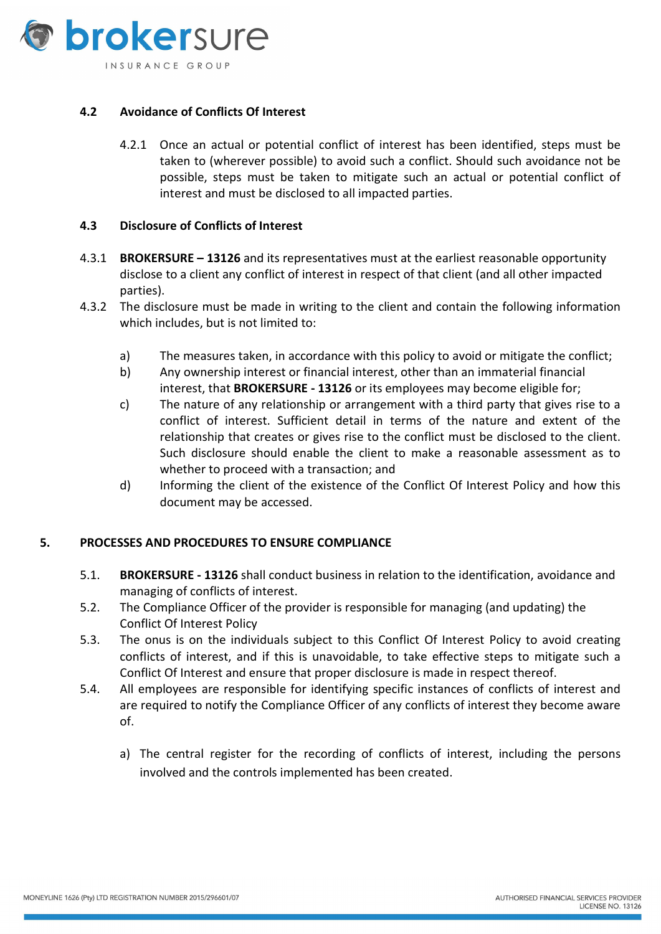

#### 4.2 Avoidance of Conflicts Of Interest

4.2.1 Once an actual or potential conflict of interest has been identified, steps must be taken to (wherever possible) to avoid such a conflict. Should such avoidance not be possible, steps must be taken to mitigate such an actual or potential conflict of interest and must be disclosed to all impacted parties.

#### 4.3 Disclosure of Conflicts of Interest

- 4.3.1 BROKERSURE 13126 and its representatives must at the earliest reasonable opportunity disclose to a client any conflict of interest in respect of that client (and all other impacted parties).
- 4.3.2 The disclosure must be made in writing to the client and contain the following information which includes, but is not limited to:
	- a) The measures taken, in accordance with this policy to avoid or mitigate the conflict;
	- b) Any ownership interest or financial interest, other than an immaterial financial interest, that **BROKERSURE - 13126** or its employees may become eligible for;
	- c) The nature of any relationship or arrangement with a third party that gives rise to a conflict of interest. Sufficient detail in terms of the nature and extent of the relationship that creates or gives rise to the conflict must be disclosed to the client. Such disclosure should enable the client to make a reasonable assessment as to whether to proceed with a transaction; and
	- d) Informing the client of the existence of the Conflict Of Interest Policy and how this document may be accessed.

#### 5. PROCESSES AND PROCEDURES TO ENSURE COMPLIANCE

- 5.1. BROKERSURE 13126 shall conduct business in relation to the identification, avoidance and managing of conflicts of interest.
- 5.2. The Compliance Officer of the provider is responsible for managing (and updating) the Conflict Of Interest Policy
- 5.3. The onus is on the individuals subject to this Conflict Of Interest Policy to avoid creating conflicts of interest, and if this is unavoidable, to take effective steps to mitigate such a Conflict Of Interest and ensure that proper disclosure is made in respect thereof.
- 5.4. All employees are responsible for identifying specific instances of conflicts of interest and are required to notify the Compliance Officer of any conflicts of interest they become aware of.
	- a) The central register for the recording of conflicts of interest, including the persons involved and the controls implemented has been created.